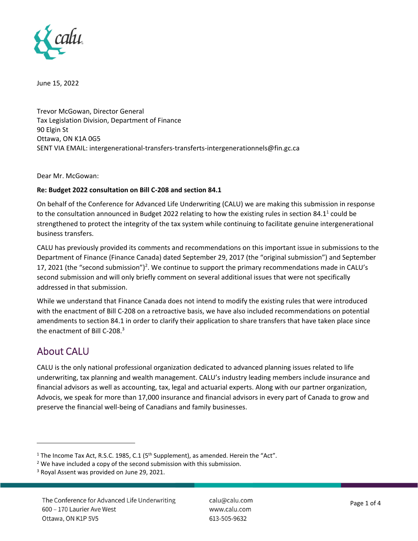

June 15, 2022

Trevor McGowan, Director General Tax Legislation Division, Department of Finance 90 Elgin St Ottawa, ON K1A 0G5 SENT VIA EMAIL: intergenerational-transfers-transferts-intergenerationnels@fin.gc.ca

Dear Mr. McGowan:

#### **Re: Budget 2022 consultation on Bill C‐208 and section 84.1**

On behalf of the Conference for Advanced Life Underwriting (CALU) we are making this submission in response to the consultation announced in Budget 2022 relating to how the existing rules in section 84.1<sup>1</sup> could be strengthened to protect the integrity of the tax system while continuing to facilitate genuine intergenerational business transfers.

CALU has previously provided its comments and recommendations on this important issue in submissions to the Department of Finance (Finance Canada) dated September 29, 2017 (the "original submission") and September 17, 2021 (the "second submission")<sup>2</sup>. We continue to support the primary recommendations made in CALU's second submission and will only briefly comment on several additional issues that were not specifically addressed in that submission.

While we understand that Finance Canada does not intend to modify the existing rules that were introduced with the enactment of Bill C-208 on a retroactive basis, we have also included recommendations on potential amendments to section 84.1 in order to clarify their application to share transfers that have taken place since the enactment of Bill C-208.<sup>3</sup>

## About CALU

CALU is the only national professional organization dedicated to advanced planning issues related to life underwriting, tax planning and wealth management. CALU's industry leading members include insurance and financial advisors as well as accounting, tax, legal and actuarial experts. Along with our partner organization, Advocis, we speak for more than 17,000 insurance and financial advisors in every part of Canada to grow and preserve the financial well‐being of Canadians and family businesses.

<sup>&</sup>lt;sup>1</sup> The Income Tax Act, R.S.C. 1985, C.1 ( $5<sup>th</sup>$  Supplement), as amended. Herein the "Act".

<sup>&</sup>lt;sup>2</sup> We have included a copy of the second submission with this submission.

<sup>&</sup>lt;sup>3</sup> Royal Assent was provided on June 29, 2021.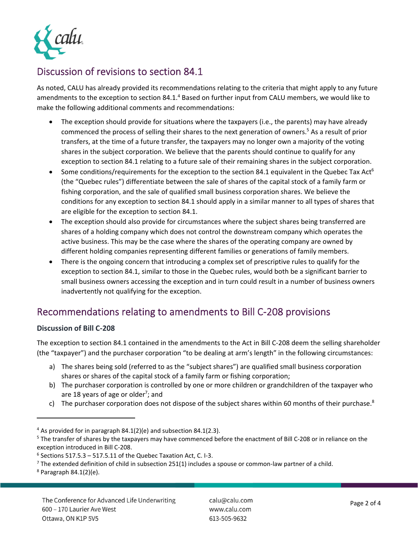

# Discussion of revisions to section 84.1

As noted, CALU has already provided its recommendations relating to the criteria that might apply to any future amendments to the exception to section 84.1.<sup>4</sup> Based on further input from CALU members, we would like to make the following additional comments and recommendations:

- The exception should provide for situations where the taxpayers (i.e., the parents) may have already commenced the process of selling their shares to the next generation of owners.<sup>5</sup> As a result of prior transfers, at the time of a future transfer, the taxpayers may no longer own a majority of the voting shares in the subject corporation. We believe that the parents should continue to qualify for any exception to section 84.1 relating to a future sale of their remaining shares in the subject corporation.
- Some conditions/requirements for the exception to the section 84.1 equivalent in the Quebec Tax Act<sup>6</sup> (the "Quebec rules") differentiate between the sale of shares of the capital stock of a family farm or fishing corporation, and the sale of qualified small business corporation shares. We believe the conditions for any exception to section 84.1 should apply in a similar manner to all types of shares that are eligible for the exception to section 84.1.
- The exception should also provide for circumstances where the subject shares being transferred are shares of a holding company which does not control the downstream company which operates the active business. This may be the case where the shares of the operating company are owned by different holding companies representing different families or generations of family members.
- There is the ongoing concern that introducing a complex set of prescriptive rules to qualify for the exception to section 84.1, similar to those in the Quebec rules, would both be a significant barrier to small business owners accessing the exception and in turn could result in a number of business owners inadvertently not qualifying for the exception.

# Recommendations relating to amendments to Bill C‐208 provisions

## **Discussion of Bill C‐208**

The exception to section 84.1 contained in the amendments to the Act in Bill C‐208 deem the selling shareholder (the "taxpayer") and the purchaser corporation "to be dealing at arm's length" in the following circumstances:

- a) The shares being sold (referred to as the "subject shares") are qualified small business corporation shares or shares of the capital stock of a family farm or fishing corporation;
- b) The purchaser corporation is controlled by one or more children or grandchildren of the taxpayer who are 18 years of age or older<sup>7</sup>; and
- c) The purchaser corporation does not dispose of the subject shares within 60 months of their purchase.<sup>8</sup>

<sup>4</sup> As provided for in paragraph 84.1(2)(e) and subsection 84.1(2.3).

<sup>&</sup>lt;sup>5</sup> The transfer of shares by the taxpayers may have commenced before the enactment of Bill C-208 or in reliance on the exception introduced in Bill C‐208.

 $6$  Sections 517.5.3 – 517.5.11 of the Quebec Taxation Act, C. I-3.

 $7$  The extended definition of child in subsection 251(1) includes a spouse or common-law partner of a child.

 $8$  Paragraph 84.1(2)(e).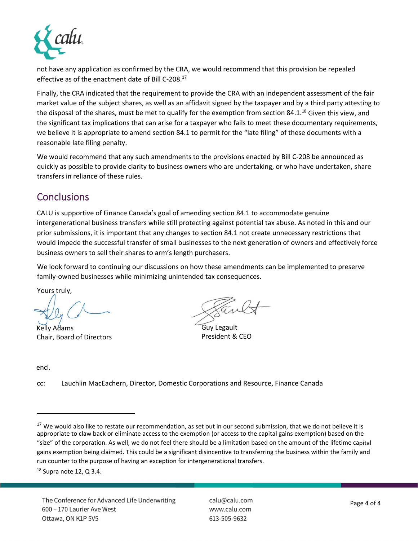

not have any application as confirmed by the CRA, we would recommend that this provision be repealed effective as of the enactment date of Bill C-208.<sup>17</sup>

Finally, the CRA indicated that the requirement to provide the CRA with an independent assessment of the fair market value of the subject shares, as well as an affidavit signed by the taxpayer and by a third party attesting to the disposal of the shares, must be met to qualify for the exemption from section 84.1. $^{18}$  Given this view, and the significant tax implications that can arise for a taxpayer who fails to meet these documentary requirements, we believe it is appropriate to amend section 84.1 to permit for the "late filing" of these documents with a reasonable late filing penalty.

We would recommend that any such amendments to the provisions enacted by Bill C-208 be announced as quickly as possible to provide clarity to business owners who are undertaking, or who have undertaken, share transfers in reliance of these rules.

## **Conclusions**

CALU is supportive of Finance Canada's goal of amending section 84.1 to accommodate genuine intergenerational business transfers while still protecting against potential tax abuse. As noted in this and our prior submissions, it is important that any changes to section 84.1 not create unnecessary restrictions that would impede the successful transfer of small businesses to the next generation of owners and effectively force business owners to sell their shares to arm's length purchasers.

We look forward to continuing our discussions on how these amendments can be implemented to preserve family‐owned businesses while minimizing unintended tax consequences.

Yours truly,

Kelly Adams Chair, Board of Directors

Guy Legault President & CEO

encl.

Lauchlin MacEachern, Director, Domestic Corporations and Resource, Finance Canada cc:

<sup>&</sup>lt;sup>17</sup> We would also like to restate our recommendation, as set out in our second submission, that we do not believe it is appropriate to claw back or eliminate access to the exemption (or access to the capital gains exemption) based on the "size" of the corporation. As well, we do not feel there should be a limitation based on the amount of the lifetime capital gains exemption being claimed. This could be a significant disincentive to transferring the business within the family and run counter to the purpose of having an exception for intergenerational transfers.

 $18$  Supra note 12, Q 3.4.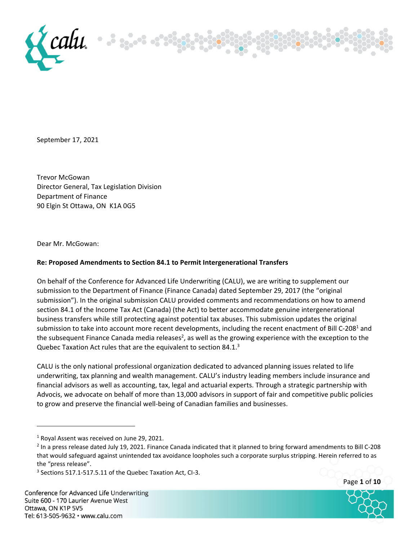

September 17, 2021

Trevor McGowan Director General, Tax Legislation Division Department of Finance 90 Elgin St Ottawa, ON K1A 0G5

Dear Mr. McGowan:

#### **Re: Proposed Amendments to Section 84.1 to Permit Intergenerational Transfers**

On behalf of the Conference for Advanced Life Underwriting (CALU), we are writing to supplement our submission to the Department of Finance (Finance Canada) dated September 29, 2017 (the "original submission"). In the original submission CALU provided comments and recommendations on how to amend section 84.1 of the Income Tax Act (Canada) (the Act) to better accommodate genuine intergenerational business transfers while still protecting against potential tax abuses. This submission updates the original submission to take into account more recent developments, including the recent enactment of Bill C-208<sup>1</sup> and the subsequent Finance Canada media releases<sup>2</sup>, as well as the growing experience with the exception to the Quebec Taxation Act rules that are the equivalent to section 84.1.<sup>3</sup>

CALU is the only national professional organization dedicated to advanced planning issues related to life underwriting, tax planning and wealth management. CALU's industry leading members include insurance and financial advisors as well as accounting, tax, legal and actuarial experts. Through a strategic partnership with Advocis, we advocate on behalf of more than 13,000 advisors in support of fair and competitive public policies to grow and preserve the financial well‐being of Canadian families and businesses.





<sup>1</sup> Royal Assent was received on June 29, 2021.

<sup>2</sup> In a press release dated July 19, 2021. Finance Canada indicated that it planned to bring forward amendments to Bill C‐208 that would safeguard against unintended tax avoidance loopholes such a corporate surplus stripping. Herein referred to as the "press release".

<sup>&</sup>lt;sup>3</sup> Sections 517.1-517.5.11 of the Quebec Taxation Act, CI-3.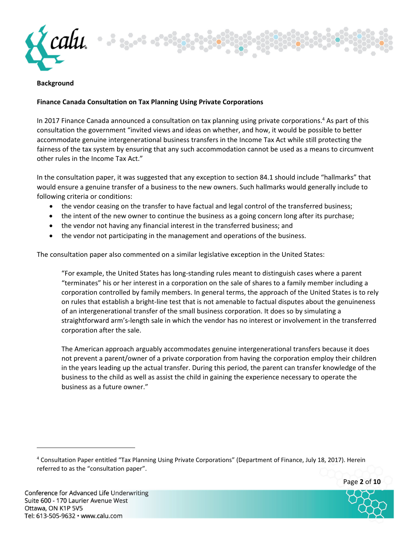

#### **Background**

#### **Finance Canada Consultation on Tax Planning Using Private Corporations**

In 2017 Finance Canada announced a consultation on tax planning using private corporations.4 As part of this consultation the government "invited views and ideas on whether, and how, it would be possible to better accommodate genuine intergenerational business transfers in the Income Tax Act while still protecting the fairness of the tax system by ensuring that any such accommodation cannot be used as a means to circumvent other rules in the Income Tax Act."

In the consultation paper, it was suggested that any exception to section 84.1 should include "hallmarks" that would ensure a genuine transfer of a business to the new owners. Such hallmarks would generally include to following criteria or conditions:

- the vendor ceasing on the transfer to have factual and legal control of the transferred business;
- the intent of the new owner to continue the business as a going concern long after its purchase;
- the vendor not having any financial interest in the transferred business; and
- the vendor not participating in the management and operations of the business.

The consultation paper also commented on a similar legislative exception in the United States:

"For example, the United States has long‐standing rules meant to distinguish cases where a parent "terminates" his or her interest in a corporation on the sale of shares to a family member including a corporation controlled by family members. In general terms, the approach of the United States is to rely on rules that establish a bright‐line test that is not amenable to factual disputes about the genuineness of an intergenerational transfer of the small business corporation. It does so by simulating a straightforward arm's‐length sale in which the vendor has no interest or involvement in the transferred corporation after the sale.

The American approach arguably accommodates genuine intergenerational transfers because it does not prevent a parent/owner of a private corporation from having the corporation employ their children in the years leading up the actual transfer. During this period, the parent can transfer knowledge of the business to the child as well as assist the child in gaining the experience necessary to operate the business as a future owner."

<sup>4</sup> Consultation Paper entitled "Tax Planning Using Private Corporations" (Department of Finance, July 18, 2017). Herein referred to as the "consultation paper".

Page **2** of **10**

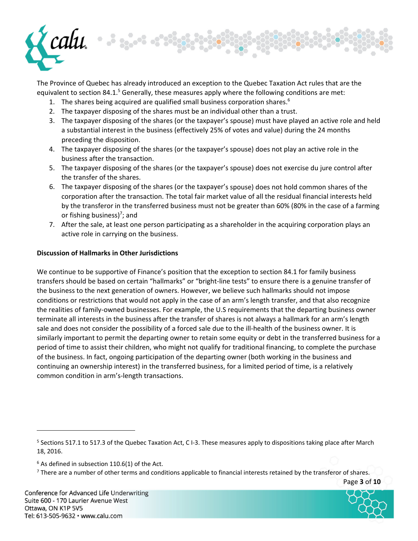

The Province of Quebec has already introduced an exception to the Quebec Taxation Act rules that are the equivalent to section 84.1.<sup>5</sup> Generally, these measures apply where the following conditions are met:

- 1. The shares being acquired are qualified small business corporation shares.<sup>6</sup>
- 2. The taxpayer disposing of the shares must be an individual other than a trust.
- 3. The taxpayer disposing of the shares (or the taxpayer's spouse) must have played an active role and held a substantial interest in the business (effectively 25% of votes and value) during the 24 months preceding the disposition.
- 4. The taxpayer disposing of the shares (or the taxpayer's spouse) does not play an active role in the business after the transaction.
- 5. The taxpayer disposing of the shares (or the taxpayer's spouse) does not exercise du jure control after the transfer of the shares.
- 6. The taxpayer disposing of the shares (or the taxpayer's spouse) does not hold common shares of the corporation after the transaction. The total fair market value of all the residual financial interests held by the transferor in the transferred business must not be greater than 60% (80% in the case of a farming or fishing business)<sup>7</sup>; and
- 7. After the sale, at least one person participating as a shareholder in the acquiring corporation plays an active role in carrying on the business.

#### **Discussion of Hallmarks in Other Jurisdictions**

We continue to be supportive of Finance's position that the exception to section 84.1 for family business transfers should be based on certain "hallmarks" or "bright‐line tests" to ensure there is a genuine transfer of the business to the next generation of owners. However, we believe such hallmarks should not impose conditions or restrictions that would not apply in the case of an arm's length transfer, and that also recognize the realities of family‐owned businesses. For example, the U.S requirements that the departing business owner terminate all interests in the business after the transfer of shares is not always a hallmark for an arm's length sale and does not consider the possibility of a forced sale due to the ill-health of the business owner. It is similarly important to permit the departing owner to retain some equity or debt in the transferred business for a period of time to assist their children, who might not qualify for traditional financing, to complete the purchase of the business. In fact, ongoing participation of the departing owner (both working in the business and continuing an ownership interest) in the transferred business, for a limited period of time, is a relatively common condition in arm's‐length transactions.

Page **3** of **10**



<sup>&</sup>lt;sup>5</sup> Sections 517.1 to 517.3 of the Quebec Taxation Act, C I-3. These measures apply to dispositions taking place after March 18, 2016.

 $6$  As defined in subsection 110.6(1) of the Act.

 $<sup>7</sup>$  There are a number of other terms and conditions applicable to financial interests retained by the transferor of shares.</sup>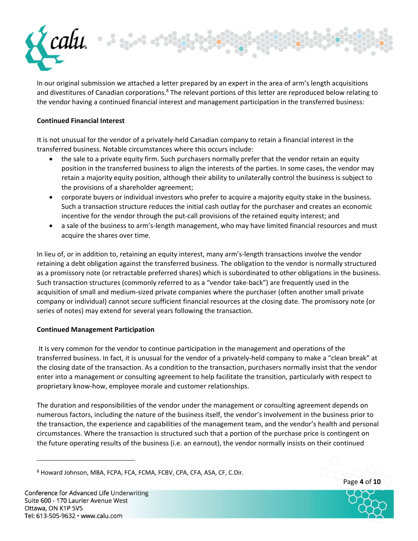

In our original submission we attached a letter prepared by an expert in the area of arm's length acquisitions and divestitures of Canadian corporations.<sup>8</sup> The relevant portions of this letter are reproduced below relating to the vendor having a continued financial interest and management participation in the transferred business:

#### **Continued Financial Interest**

It is not unusual for the vendor of a privately‐held Canadian company to retain a financial interest in the transferred business. Notable circumstances where this occurs include:

- the sale to a private equity firm. Such purchasers normally prefer that the vendor retain an equity position in the transferred business to align the interests of the parties. In some cases, the vendor may retain a majority equity position, although their ability to unilaterally control the business is subject to the provisions of a shareholder agreement;
- corporate buyers or individual investors who prefer to acquire a majority equity stake in the business. Such a transaction structure reduces the initial cash outlay for the purchaser and creates an economic incentive for the vendor through the put‐call provisions of the retained equity interest; and
- a sale of the business to arm's‐length management, who may have limited financial resources and must acquire the shares over time.

In lieu of, or in addition to, retaining an equity interest, many arm's‐length transactions involve the vendor retaining a debt obligation against the transferred business. The obligation to the vendor is normally structured as a promissory note (or retractable preferred shares) which is subordinated to other obligations in the business. Such transaction structures (commonly referred to as a "vendor take‐back") are frequently used in the acquisition of small and medium‐sized private companies where the purchaser (often another small private company or individual) cannot secure sufficient financial resources at the closing date. The promissory note (or series of notes) may extend for several years following the transaction.

#### **Continued Management Participation**

It is very common for the vendor to continue participation in the management and operations of the transferred business. In fact, it is unusual for the vendor of a privately‐held company to make a "clean break" at the closing date of the transaction. As a condition to the transaction, purchasers normally insist that the vendor enter into a management or consulting agreement to help facilitate the transition, particularly with respect to proprietary know‐how, employee morale and customer relationships.

The duration and responsibilities of the vendor under the management or consulting agreement depends on numerous factors, including the nature of the business itself, the vendor's involvement in the business prior to the transaction, the experience and capabilities of the management team, and the vendor's health and personal circumstances. Where the transaction is structured such that a portion of the purchase price is contingent on the future operating results of the business (i.e. an earnout), the vendor normally insists on their continued



<sup>8</sup> Howard Johnson, MBA, FCPA, FCA, FCMA, FCBV, CPA, CFA, ASA, CF, C.Dir.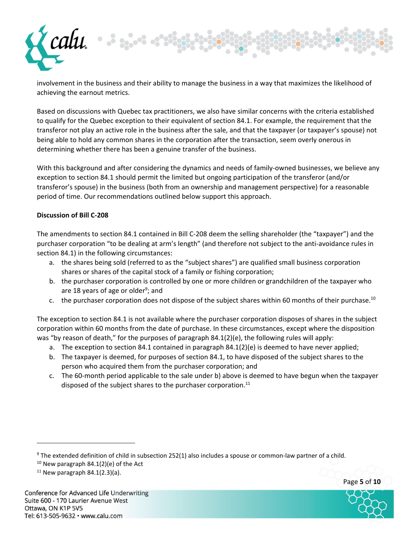

involvement in the business and their ability to manage the business in a way that maximizes the likelihood of achieving the earnout metrics.

Based on discussions with Quebec tax practitioners, we also have similar concerns with the criteria established to qualify for the Quebec exception to their equivalent of section 84.1. For example, the requirement that the transferor not play an active role in the business after the sale, and that the taxpayer (or taxpayer's spouse) not being able to hold any common shares in the corporation after the transaction, seem overly onerous in determining whether there has been a genuine transfer of the business.

With this background and after considering the dynamics and needs of family‐owned businesses, we believe any exception to section 84.1 should permit the limited but ongoing participation of the transferor (and/or transferor's spouse) in the business (both from an ownership and management perspective) for a reasonable period of time. Our recommendations outlined below support this approach.

#### **Discussion of Bill C‐208**

The amendments to section 84.1 contained in Bill C‐208 deem the selling shareholder (the "taxpayer") and the purchaser corporation "to be dealing at arm's length" (and therefore not subject to the anti‐avoidance rules in section 84.1) in the following circumstances:

- a. the shares being sold (referred to as the "subject shares") are qualified small business corporation shares or shares of the capital stock of a family or fishing corporation;
- b. the purchaser corporation is controlled by one or more children or grandchildren of the taxpayer who are 18 years of age or older<sup>9</sup>; and
- c. the purchaser corporation does not dispose of the subject shares within 60 months of their purchase.<sup>10</sup>

The exception to section 84.1 is not available where the purchaser corporation disposes of shares in the subject corporation within 60 months from the date of purchase. In these circumstances, except where the disposition was "by reason of death," for the purposes of paragraph 84.1(2)(e), the following rules will apply:

- a. The exception to section 84.1 contained in paragraph 84.1(2)(e) is deemed to have never applied;
- b. The taxpayer is deemed, for purposes of section 84.1, to have disposed of the subject shares to the person who acquired them from the purchaser corporation; and
- c. The 60‐month period applicable to the sale under b) above is deemed to have begun when the taxpayer disposed of the subject shares to the purchaser corporation.<sup>11</sup>

Page **5** of **10**



<sup>9</sup> The extended definition of child in subsection 252(1) also includes a spouse or common-law partner of a child.

 $10$  New paragraph 84.1(2)(e) of the Act

 $11$  New paragraph 84.1(2.3)(a).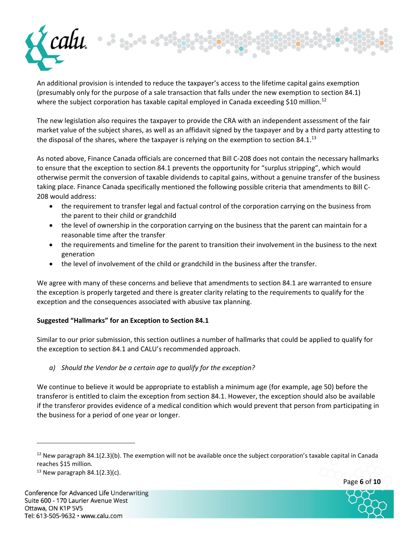

An additional provision is intended to reduce the taxpayer's access to the lifetime capital gains exemption (presumably only for the purpose of a sale transaction that falls under the new exemption to section 84.1) where the subject corporation has taxable capital employed in Canada exceeding \$10 million.<sup>12</sup>

The new legislation also requires the taxpayer to provide the CRA with an independent assessment of the fair market value of the subject shares, as well as an affidavit signed by the taxpayer and by a third party attesting to the disposal of the shares, where the taxpayer is relying on the exemption to section 84.1.<sup>13</sup>

As noted above, Finance Canada officials are concerned that Bill C‐208 does not contain the necessary hallmarks to ensure that the exception to section 84.1 prevents the opportunity for "surplus stripping", which would otherwise permit the conversion of taxable dividends to capital gains, without a genuine transfer of the business taking place. Finance Canada specifically mentioned the following possible criteria that amendments to Bill C‐ 208 would address:

- the requirement to transfer legal and factual control of the corporation carrying on the business from the parent to their child or grandchild
- the level of ownership in the corporation carrying on the business that the parent can maintain for a reasonable time after the transfer
- the requirements and timeline for the parent to transition their involvement in the business to the next generation
- the level of involvement of the child or grandchild in the business after the transfer.

We agree with many of these concerns and believe that amendments to section 84.1 are warranted to ensure the exception is properly targeted and there is greater clarity relating to the requirements to qualify for the exception and the consequences associated with abusive tax planning.

## **Suggested "Hallmarks" for an Exception to Section 84.1**

Similar to our prior submission, this section outlines a number of hallmarks that could be applied to qualify for the exception to section 84.1 and CALU's recommended approach.

*a) Should the Vendor be a certain age to qualify for the exception?*

We continue to believe it would be appropriate to establish a minimum age (for example, age 50) before the transferor is entitled to claim the exception from section 84.1. However, the exception should also be available if the transferor provides evidence of a medical condition which would prevent that person from participating in the business for a period of one year or longer.



Page **6** of **10**

 $12$  New paragraph 84.1(2.3)(b). The exemption will not be available once the subject corporation's taxable capital in Canada reaches \$15 million.

<sup>&</sup>lt;sup>13</sup> New paragraph 84.1(2.3)(c).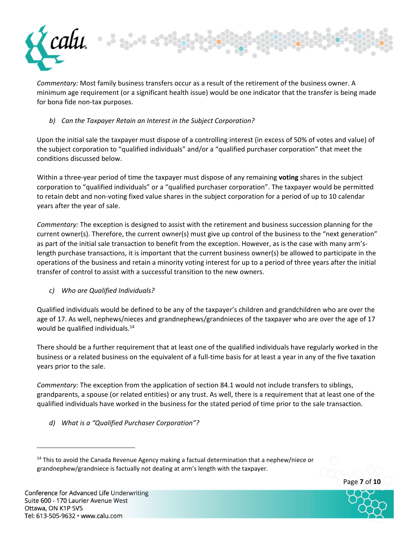

*Commentary:* Most family business transfers occur as a result of the retirement of the business owner. A minimum age requirement (or a significant health issue) would be one indicator that the transfer is being made for bona fide non-tax purposes.

## *b) Can the Taxpayer Retain an Interest in the Subject Corporation?*

Upon the initial sale the taxpayer must dispose of a controlling interest (in excess of 50% of votes and value) of the subject corporation to "qualified individuals" and/or a "qualified purchaser corporation" that meet the conditions discussed below.

Within a three‐year period of time the taxpayer must dispose of any remaining **voting** shares in the subject corporation to "qualified individuals" or a "qualified purchaser corporation". The taxpayer would be permitted to retain debt and non‐voting fixed value shares in the subject corporation for a period of up to 10 calendar years after the year of sale.

*Commentary:* The exception is designed to assist with the retirement and business succession planning for the current owner(s). Therefore, the current owner(s) must give up control of the business to the "next generation" as part of the initial sale transaction to benefit from the exception. However, as is the case with many arm'slength purchase transactions, it is important that the current business owner(s) be allowed to participate in the operations of the business and retain a minority voting interest for up to a period of three years after the initial transfer of control to assist with a successful transition to the new owners.

### *c) Who are Qualified Individuals?*

Qualified individuals would be defined to be any of the taxpayer's children and grandchildren who are over the age of 17. As well, nephews/nieces and grandnephews/grandnieces of the taxpayer who are over the age of 17 would be qualified individuals.<sup>14</sup>

There should be a further requirement that at least one of the qualified individuals have regularly worked in the business or a related business on the equivalent of a full-time basis for at least a year in any of the five taxation years prior to the sale.

*Commentary:* The exception from the application of section 84.1 would not include transfers to siblings, grandparents, a spouse (or related entities) or any trust. As well, there is a requirement that at least one of the qualified individuals have worked in the business for the stated period of time prior to the sale transaction.

*d) What is a "Qualified Purchaser Corporation"?*

<sup>14</sup> This to avoid the Canada Revenue Agency making a factual determination that a nephew/niece or grandnephew/grandniece is factually not dealing at arm's length with the taxpayer.

Page **7** of **10**

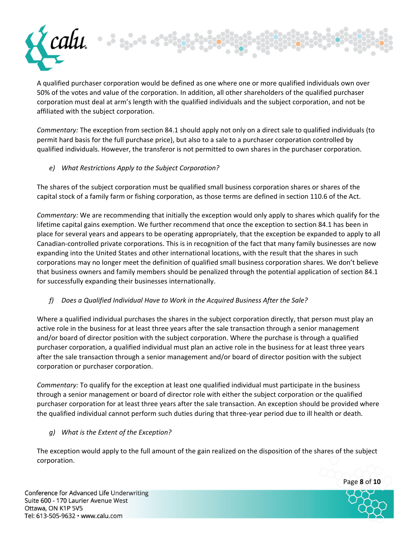

A qualified purchaser corporation would be defined as one where one or more qualified individuals own over 50% of the votes and value of the corporation. In addition, all other shareholders of the qualified purchaser corporation must deal at arm's length with the qualified individuals and the subject corporation, and not be affiliated with the subject corporation.

*Commentary:* The exception from section 84.1 should apply not only on a direct sale to qualified individuals (to permit hard basis for the full purchase price), but also to a sale to a purchaser corporation controlled by qualified individuals. However, the transferor is not permitted to own shares in the purchaser corporation.

*e) What Restrictions Apply to the Subject Corporation?*

The shares of the subject corporation must be qualified small business corporation shares or shares of the capital stock of a family farm or fishing corporation, as those terms are defined in section 110.6 of the Act.

*Commentary:* We are recommending that initially the exception would only apply to shares which qualify for the lifetime capital gains exemption. We further recommend that once the exception to section 84.1 has been in place for several years and appears to be operating appropriately, that the exception be expanded to apply to all Canadian‐controlled private corporations. This is in recognition of the fact that many family businesses are now expanding into the United States and other international locations, with the result that the shares in such corporations may no longer meet the definition of qualified small business corporation shares. We don't believe that business owners and family members should be penalized through the potential application of section 84.1 for successfully expanding their businesses internationally.

*f) Does a Qualified Individual Have to Work in the Acquired Business After the Sale?*

Where a qualified individual purchases the shares in the subject corporation directly, that person must play an active role in the business for at least three years after the sale transaction through a senior management and/or board of director position with the subject corporation. Where the purchase is through a qualified purchaser corporation, a qualified individual must plan an active role in the business for at least three years after the sale transaction through a senior management and/or board of director position with the subject corporation or purchaser corporation.

*Commentary:* To qualify for the exception at least one qualified individual must participate in the business through a senior management or board of director role with either the subject corporation or the qualified purchaser corporation for at least three years after the sale transaction. An exception should be provided where the qualified individual cannot perform such duties during that three‐year period due to ill health or death.

*g) What is the Extent of the Exception?*

The exception would apply to the full amount of the gain realized on the disposition of the shares of the subject corporation.

Page **8** of **10**

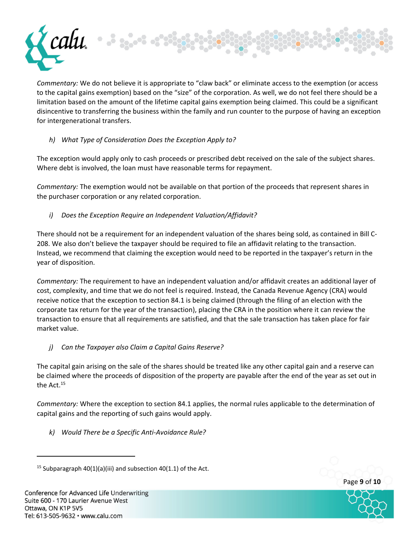

*Commentary:* We do not believe it is appropriate to "claw back" or eliminate access to the exemption (or access to the capital gains exemption) based on the "size" of the corporation. As well, we do not feel there should be a limitation based on the amount of the lifetime capital gains exemption being claimed. This could be a significant disincentive to transferring the business within the family and run counter to the purpose of having an exception for intergenerational transfers.

## *h) What Type of Consideration Does the Exception Apply to?*

The exception would apply only to cash proceeds or prescribed debt received on the sale of the subject shares. Where debt is involved, the loan must have reasonable terms for repayment.

*Commentary:* The exemption would not be available on that portion of the proceeds that represent shares in the purchaser corporation or any related corporation.

*i) Does the Exception Require an Independent Valuation/Affidavit?*

There should not be a requirement for an independent valuation of the shares being sold, as contained in Bill C‐ 208. We also don't believe the taxpayer should be required to file an affidavit relating to the transaction. Instead, we recommend that claiming the exception would need to be reported in the taxpayer's return in the year of disposition.

*Commentary:* The requirement to have an independent valuation and/or affidavit creates an additional layer of cost, complexity, and time that we do not feel is required. Instead, the Canada Revenue Agency (CRA) would receive notice that the exception to section 84.1 is being claimed (through the filing of an election with the corporate tax return for the year of the transaction), placing the CRA in the position where it can review the transaction to ensure that all requirements are satisfied, and that the sale transaction has taken place for fair market value.

*j) Can the Taxpayer also Claim a Capital Gains Reserve?* 

The capital gain arising on the sale of the shares should be treated like any other capital gain and a reserve can be claimed where the proceeds of disposition of the property are payable after the end of the year as set out in the Act.<sup>15</sup>

*Commentary:* Where the exception to section 84.1 applies, the normal rules applicable to the determination of capital gains and the reporting of such gains would apply.

*k) Would There be a Specific Anti‐Avoidance Rule?*



Page **9** of **10**

<sup>&</sup>lt;sup>15</sup> Subparagraph 40(1)(a)(iii) and subsection 40(1.1) of the Act.